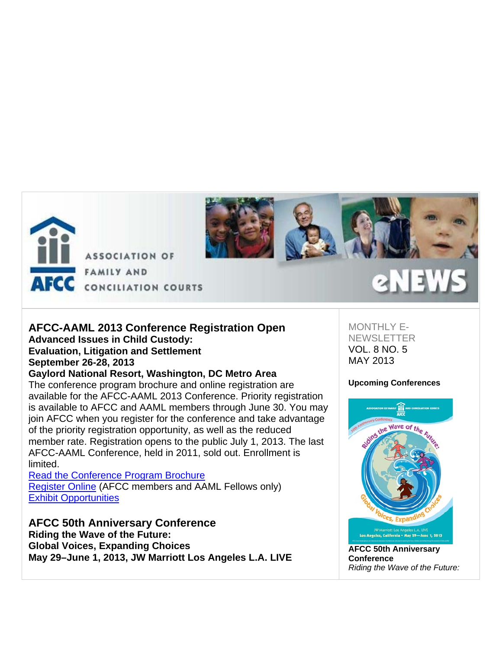

**ASSOCIATION OF FAMILY AND** 

AFCC CONCILIATION COURTS

# **AFCC-AAML 2013 Conference Registration Open**

**Advanced Issues in Child Custody: Evaluation, Litigation and Settlement September 26-28, 2013**

# **Gaylord National Resort, Washington, DC Metro Area**

The conference program brochure and online registration are available for the AFCC-AAML 2013 Conference. Priority registration is available to AFCC and AAML members through June 30. You may join AFCC when you register for the conference and take advantage of the priority registration opportunity, as well as the reduced member rate. Registration opens to the public July 1, 2013. The last AFCC-AAML Conference, held in 2011, sold out. Enrollment is limited.

Read the Conference Program Brochure Register Online (AFCC members and AAML Fellows only) Exhibit Opportunities

**AFCC 50th Anniversary Conference Riding the Wave of the Future: Global Voices, Expanding Choices May 29–June 1, 2013, JW Marriott Los Angeles L.A. LIVE** MONTHI Y F-**NEWSLETTER** VOL. 8 NO. 5 MAY 2013

# **Upcoming Conferences**



**AFCC 50th Anniversary Conference** *Riding the Wave of the Future:*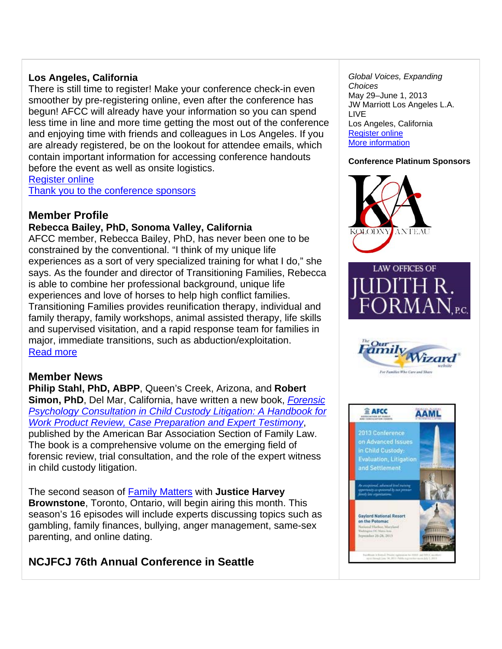# **Los Angeles, California**

There is still time to register! Make your conference check-in even smoother by pre-registering online, even after the conference has begun! AFCC will already have your information so you can spend less time in line and more time getting the most out of the conference and enjoying time with friends and colleagues in Los Angeles. If you are already registered, be on the lookout for attendee emails, which contain important information for accessing conference handouts before the event as well as onsite logistics.

Register online

Thank you to the conference sponsors

# **Member Profile**

# **Rebecca Bailey, PhD, Sonoma Valley, California**

AFCC member, Rebecca Bailey, PhD, has never been one to be constrained by the conventional. "I think of my unique life experiences as a sort of very specialized training for what I do," she says. As the founder and director of Transitioning Families, Rebecca is able to combine her professional background, unique life experiences and love of horses to help high conflict families. Transitioning Families provides reunification therapy, individual and family therapy, family workshops, animal assisted therapy, life skills and supervised visitation, and a rapid response team for families in major, immediate transitions, such as abduction/exploitation. Read more

# **Member News**

**Philip Stahl, PhD, ABPP**, Queen's Creek, Arizona, and **Robert Simon, PhD**, Del Mar, California, have written a new book, *Forensic Psychology Consultation in Child Custody Litigation: A Handbook for Work Product Review, Case Preparation and Expert Testimony*, published by the American Bar Association Section of Family Law. The book is a comprehensive volume on the emerging field of forensic review, trial consultation, and the role of the expert witness in child custody litigation.

The second season of Family Matters with **Justice Harvey Brownstone**, Toronto, Ontario, will begin airing this month. This season's 16 episodes will include experts discussing topics such as gambling, family finances, bullying, anger management, same-sex parenting, and online dating.

# **NCJFCJ 76th Annual Conference in Seattle**

*Global Voices, Expanding Choices* May 29–June 1, 2013 JW Marriott Los Angeles L.A. LIVE Los Angeles, California Register online More information

# **Conference Platinum Sponsors**

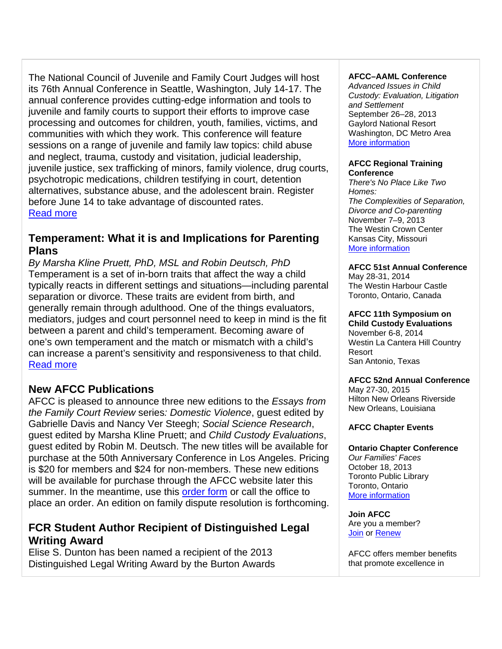The National Council of Juvenile and Family Court Judges will host its 76th Annual Conference in Seattle, Washington, July 14-17. The annual conference provides cutting-edge information and tools to juvenile and family courts to support their efforts to improve case processing and outcomes for children, youth, families, victims, and communities with which they work. This conference will feature sessions on a range of juvenile and family law topics: child abuse and neglect, trauma, custody and visitation, judicial leadership, juvenile justice, sex trafficking of minors, family violence, drug courts, psychotropic medications, children testifying in court, detention alternatives, substance abuse, and the adolescent brain. Register before June 14 to take advantage of discounted rates. Read more

# **Temperament: What it is and Implications for Parenting Plans**

*By Marsha Kline Pruett, PhD, MSL and Robin Deutsch, PhD* Temperament is a set of in-born traits that affect the way a child typically reacts in different settings and situations—including parental separation or divorce. These traits are evident from birth, and generally remain through adulthood. One of the things evaluators, mediators, judges and court personnel need to keep in mind is the fit between a parent and child's temperament. Becoming aware of one's own temperament and the match or mismatch with a child's can increase a parent's sensitivity and responsiveness to that child. Read more

# **New AFCC Publications**

AFCC is pleased to announce three new editions to the *Essays from the Family Court Review* series*: Domestic Violence*, guest edited by Gabrielle Davis and Nancy Ver Steegh; *Social Science Research*, guest edited by Marsha Kline Pruett; and *Child Custody Evaluations*, guest edited by Robin M. Deutsch. The new titles will be available for purchase at the 50th Anniversary Conference in Los Angeles. Pricing is \$20 for members and \$24 for non-members. These new editions will be available for purchase through the AFCC website later this summer. In the meantime, use this order form or call the office to place an order. An edition on family dispute resolution is forthcoming.

# **FCR Student Author Recipient of Distinguished Legal Writing Award**

Elise S. Dunton has been named a recipient of the 2013 Distinguished Legal Writing Award by the Burton Awards

# **AFCC–AAML Conference**

*Advanced Issues in Child Custody: Evaluation, Litigation and Settlement* September 26–28, 2013 Gaylord National Resort Washington, DC Metro Area More information

#### **AFCC Regional Training Conference**

*There's No Place Like Two Homes: The Complexities of Separation, Divorce and Co-parenting*  November 7–9, 2013 The Westin Crown Center Kansas City, Missouri More information

# **AFCC 51st Annual Conference**

May 28-31, 2014 The Westin Harbour Castle Toronto, Ontario, Canada

# **AFCC 11th Symposium on**

**Child Custody Evaluations** November 6-8, 2014 Westin La Cantera Hill Country Resort San Antonio, Texas

# **AFCC 52nd Annual Conference**

May 27-30, 2015 Hilton New Orleans Riverside New Orleans, Louisiana

# **AFCC Chapter Events**

# **Ontario Chapter Conference**

*Our Families' Faces*  October 18, 2013 Toronto Public Library Toronto, Ontario More information

**Join AFCC**  Are you a member? **Join or Renew** 

AFCC offers member benefits that promote excellence in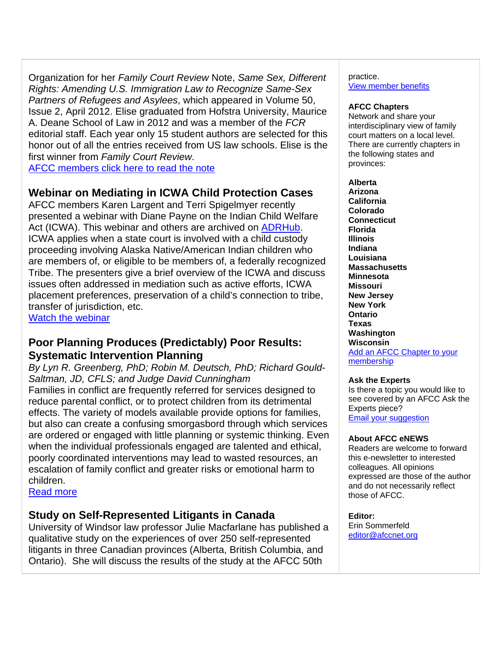Organization for her *Family Court Review* Note, *Same Sex, Different Rights: Amending U.S. Immigration Law to Recognize Same-Sex Partners of Refugees and Asylees*, which appeared in Volume 50, Issue 2, April 2012. Elise graduated from Hofstra University, Maurice A. Deane School of Law in 2012 and was a member of the *FCR*  editorial staff. Each year only 15 student authors are selected for this honor out of all the entries received from US law schools. Elise is the first winner from *Family Court Review*. AFCC members click here to read the note

# **Webinar on Mediating in ICWA Child Protection Cases**

AFCC members Karen Largent and Terri Spigelmyer recently presented a webinar with Diane Payne on the Indian Child Welfare Act (ICWA). This webinar and others are archived on ADRHub. ICWA applies when a state court is involved with a child custody proceeding involving Alaska Native/American Indian children who are members of, or eligible to be members of, a federally recognized Tribe. The presenters give a brief overview of the ICWA and discuss issues often addressed in mediation such as active efforts, ICWA placement preferences, preservation of a child's connection to tribe, transfer of jurisdiction, etc.

Watch the webinar

# **Poor Planning Produces (Predictably) Poor Results: Systematic Intervention Planning**

*By Lyn R. Greenberg, PhD; Robin M. Deutsch, PhD; Richard Gould-Saltman, JD, CFLS; and Judge David Cunningham*

Families in conflict are frequently referred for services designed to reduce parental conflict, or to protect children from its detrimental effects. The variety of models available provide options for families, but also can create a confusing smorgasbord through which services are ordered or engaged with little planning or systemic thinking. Even when the individual professionals engaged are talented and ethical, poorly coordinated interventions may lead to wasted resources, an escalation of family conflict and greater risks or emotional harm to children.

Read more

# **Study on Self-Represented Litigants in Canada**

University of Windsor law professor Julie Macfarlane has published a qualitative study on the experiences of over 250 self-represented litigants in three Canadian provinces (Alberta, British Columbia, and Ontario). She will discuss the results of the study at the AFCC 50th

practice. View member benefits

# **AFCC Chapters**

Network and share your interdisciplinary view of family court matters on a local level. There are currently chapters in the following states and provinces:

# **Alberta**

**Arizona California Colorado Connecticut Florida Illinois Indiana Louisiana Massachusetts Minnesota Missouri New Jersey New York Ontario Texas Washington Wisconsin**  Add an AFCC Chapter to your membership

# **Ask the Experts**

Is there a topic you would like to see covered by an AFCC Ask the Experts piece? Email your suggestion

# **About AFCC eNEWS**

Readers are welcome to forward this e-newsletter to interested colleagues. All opinions expressed are those of the author and do not necessarily reflect those of AFCC.

**Editor:**  Erin Sommerfeld editor@afccnet.org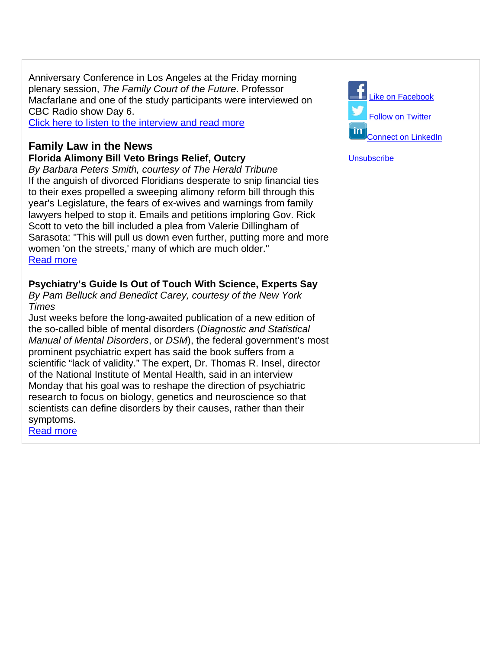Anniversary Conference in Los Angeles at the Friday morning plenary session, *The Family Court of the Future*. Professor Macfarlane and one of the study participants were interviewed on CBC Radio show Day 6.

Click here to listen to the interview and read more

# **Family Law in the News**

**Florida Alimony Bill Veto Brings Relief, Outcry**

*By Barbara Peters Smith, courtesy of The Herald Tribune* If the anguish of divorced Floridians desperate to snip financial ties to their exes propelled a sweeping alimony reform bill through this year's Legislature, the fears of ex-wives and warnings from family lawyers helped to stop it. Emails and petitions imploring Gov. Rick Scott to veto the bill included a plea from Valerie Dillingham of Sarasota: "This will pull us down even further, putting more and more women 'on the streets,' many of which are much older." Read more

# **Psychiatry's Guide Is Out of Touch With Science, Experts Say**

*By Pam Belluck and Benedict Carey, courtesy of the New York Times*

Just weeks before the long-awaited publication of a new edition of the so-called bible of mental disorders (*Diagnostic and Statistical Manual of Mental Disorders*, or *DSM*), the federal government's most prominent psychiatric expert has said the book suffers from a scientific "lack of validity." The expert, Dr. Thomas R. Insel, director of the National Institute of Mental Health, said in an interview Monday that his goal was to reshape the direction of psychiatric research to focus on biology, genetics and neuroscience so that scientists can define disorders by their causes, rather than their symptoms.

Read more



**Unsubscribe**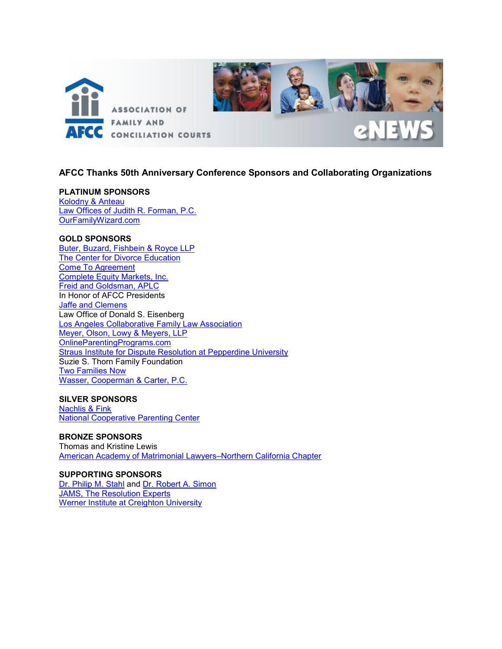

# **AFCC Thanks 50th Anniversary Conference Sponsors and Collaborating Organizations**

#### **PLATINUM SPONSORS**

[Kolodny & Anteau](http://www.kolodny-anteau.com/) [Law Offices of Judith R. Forman, P.C.](http://www.familylawcounsel.com/) [OurFamilyWizard.com](http://ourfamilywizard.com/ofw/)

#### **GOLD SPONSORS**

[Buter, Buzard, Fishbein & Royce LLP](http://www.bbfrlaw.com/) [The Center for Divorce Education](http://www.divorce-education.com/) [Come To Agreement](http://www.cometoagreement.com/) [Complete Equity Markets, Inc.](http://www.cemins.com/) Freid [and Goldsman, APLC](http://www.fglegal.com/) In Honor of AFCC Presidents [Jaffe and Clemens](http://jaffeclemens.com/) Law Office of Donald S. Eisenberg [Los Angeles Collaborative Family Law Association](http://www.lacfla.org/) [Meyer, Olson, Lowy & Meyers, LLP](http://molfamlaw.com/) OnlineParentingPrograms.com **[Straus Institute for Dispute Resolution at Pepperdine University](http://law.pepperdine.edu/straus/)** Suzie S. Thorn Family Foundation [Two Families Now](https://www.irised.com/two_families_now)  [Wasser, Cooperman & Carter, P.C.](http://www.wccfamilylaw.com/)

#### **SILVER SPONSORS**

[Nachlis & Fink](http://nachlisfinklaw.com/) [National Cooperative Parenting Center](http://www.thencpc.com/)

### **BRONZE SPONSORS**

Thomas and Kristine Lewis [American Academy of Matrimonial Lawyers–Northern California Chapter](http://www.aamlnocal.com/)

# **SUPPORTING SPONSORS** [Dr. Philip M. Stahl](http://parentingafterdivorce.com/) and [Dr. Robert A. Simon](http://www.dr-simon.com/)

**[JAMS, The Resolution Experts](http://www.jamsadr.com/)** [Werner Institute at Creighton University](http://www.creighton.edu/werner/)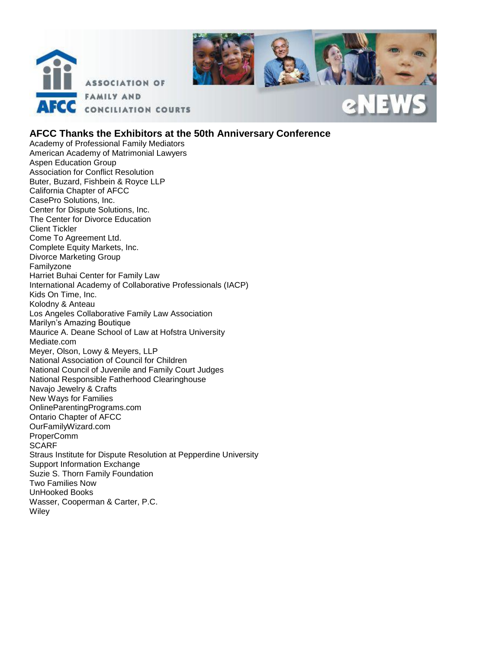

# **AFCC Thanks the Exhibitors at the 50th Anniversary Conference**

Academy of Professional Family Mediators American Academy of Matrimonial Lawyers Aspen Education Group Association for Conflict Resolution Buter, Buzard, Fishbein & Royce LLP California Chapter of AFCC CasePro Solutions, Inc. Center for Dispute Solutions, Inc. The Center for Divorce Education Client Tickler Come To Agreement Ltd. Complete Equity Markets, Inc. Divorce Marketing Group Familyzone Harriet Buhai Center for Family Law International Academy of Collaborative Professionals (IACP) Kids On Time, Inc. Kolodny & Anteau Los Angeles Collaborative Family Law Association Marilyn's Amazing Boutique Maurice A. Deane School of Law at Hofstra University Mediate.com Meyer, Olson, Lowy & Meyers, LLP National Association of Council for Children National Council of Juvenile and Family Court Judges National Responsible Fatherhood Clearinghouse Navajo Jewelry & Crafts New Ways for Families OnlineParentingPrograms.com Ontario Chapter of AFCC OurFamilyWizard.com ProperComm **SCARF** Straus Institute for Dispute Resolution at Pepperdine University Support Information Exchange Suzie S. Thorn Family Foundation Two Families Now UnHooked Books Wasser, Cooperman & Carter, P.C. **Wiley**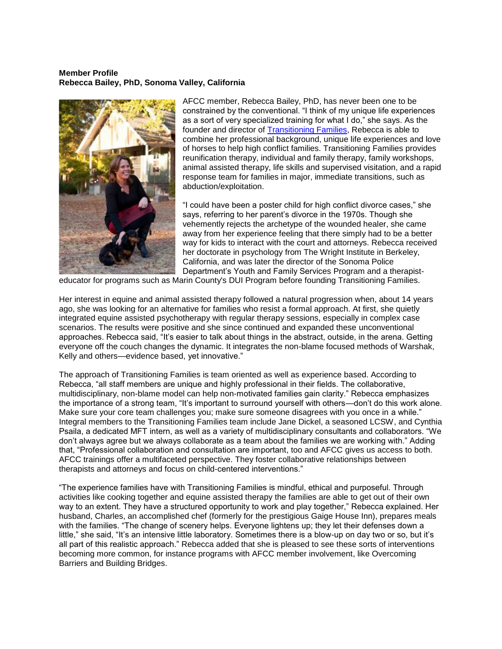#### **Member Profile Rebecca Bailey, PhD, Sonoma Valley, California**



AFCC member, Rebecca Bailey, PhD, has never been one to be constrained by the conventional. "I think of my unique life experiences as a sort of very specialized training for what I do," she says. As the founder and director of [Transitioning Families,](http://transitioningfamilies.com/) Rebecca is able to combine her professional background, unique life experiences and love of horses to help high conflict families. Transitioning Families provides reunification therapy, individual and family therapy, family workshops, animal assisted therapy, life skills and supervised visitation, and a rapid response team for families in major, immediate transitions, such as abduction/exploitation.

"I could have been a poster child for high conflict divorce cases," she says, referring to her parent's divorce in the 1970s. Though she vehemently rejects the archetype of the wounded healer, she came away from her experience feeling that there simply had to be a better way for kids to interact with the court and attorneys. Rebecca received her doctorate in psychology from The Wright Institute in Berkeley, California, and was later the director of the Sonoma Police Department's Youth and Family Services Program and a therapist-

educator for programs such as Marin County's DUI Program before founding Transitioning Families.

Her interest in equine and animal assisted therapy followed a natural progression when, about 14 years ago, she was looking for an alternative for families who resist a formal approach. At first, she quietly integrated equine assisted psychotherapy with regular therapy sessions, especially in complex case scenarios. The results were positive and she since continued and expanded these unconventional approaches. Rebecca said, "It's easier to talk about things in the abstract, outside, in the arena. Getting everyone off the couch changes the dynamic. It integrates the non-blame focused methods of Warshak, Kelly and others—evidence based, yet innovative."

The approach of Transitioning Families is team oriented as well as experience based. According to Rebecca, "all staff members are unique and highly professional in their fields. The collaborative, multidisciplinary, non-blame model can help non-motivated families gain clarity." Rebecca emphasizes the importance of a strong team, "It's important to surround yourself with others—don't do this work alone. Make sure your core team challenges you; make sure someone disagrees with you once in a while." Integral members to the Transitioning Families team include Jane Dickel, a seasoned LCSW, and Cynthia Psaila, a dedicated MFT intern, as well as a variety of multidisciplinary consultants and collaborators. "We don't always agree but we always collaborate as a team about the families we are working with." Adding that, "Professional collaboration and consultation are important, too and AFCC gives us access to both. AFCC trainings offer a multifaceted perspective. They foster collaborative relationships between therapists and attorneys and focus on child-centered interventions."

"The experience families have with Transitioning Families is mindful, ethical and purposeful. Through activities like cooking together and equine assisted therapy the families are able to get out of their own way to an extent. They have a structured opportunity to work and play together," Rebecca explained. Her husband, Charles, an accomplished chef (formerly for the prestigious Gaige House Inn), prepares meals with the families. "The change of scenery helps. Everyone lightens up; they let their defenses down a little," she said, "It's an intensive little laboratory. Sometimes there is a blow-up on day two or so, but it's all part of this realistic approach." Rebecca added that she is pleased to see these sorts of interventions becoming more common, for instance programs with AFCC member involvement, like Overcoming Barriers and Building Bridges.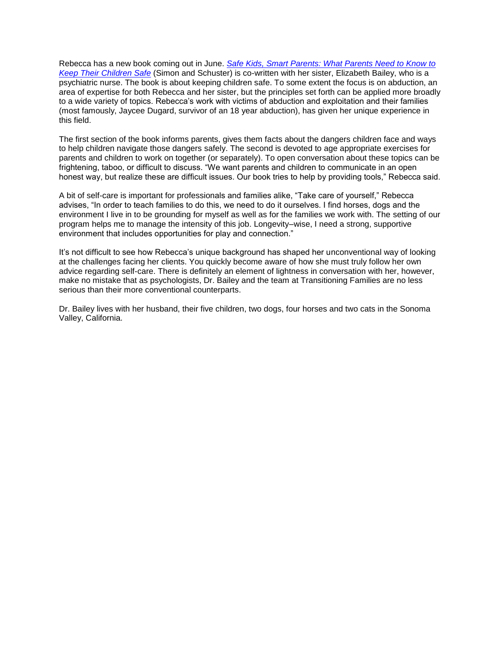Rebecca has a new book coming out in June. *[Safe Kids, Smart Parents: What Parents Need to Know to](http://www.amazon.com/Safe-Kids-Smart-Parents-Children/dp/1476700443)  [Keep Their Children Safe](http://www.amazon.com/Safe-Kids-Smart-Parents-Children/dp/1476700443)* (Simon and Schuster) is co-written with her sister, Elizabeth Bailey, who is a psychiatric nurse. The book is about keeping children safe. To some extent the focus is on abduction, an area of expertise for both Rebecca and her sister, but the principles set forth can be applied more broadly to a wide variety of topics. Rebecca's work with victims of abduction and exploitation and their families (most famously, Jaycee Dugard, survivor of an 18 year abduction), has given her unique experience in this field.

The first section of the book informs parents, gives them facts about the dangers children face and ways to help children navigate those dangers safely. The second is devoted to age appropriate exercises for parents and children to work on together (or separately). To open conversation about these topics can be frightening, taboo, or difficult to discuss. "We want parents and children to communicate in an open honest way, but realize these are difficult issues. Our book tries to help by providing tools," Rebecca said.

A bit of self-care is important for professionals and families alike, "Take care of yourself," Rebecca advises, "In order to teach families to do this, we need to do it ourselves. I find horses, dogs and the environment I live in to be grounding for myself as well as for the families we work with. The setting of our program helps me to manage the intensity of this job. Longevity–wise, I need a strong, supportive environment that includes opportunities for play and connection."

It's not difficult to see how Rebecca's unique background has shaped her unconventional way of looking at the challenges facing her clients. You quickly become aware of how she must truly follow her own advice regarding self-care. There is definitely an element of lightness in conversation with her, however, make no mistake that as psychologists, Dr. Bailey and the team at Transitioning Families are no less serious than their more conventional counterparts.

Dr. Bailey lives with her husband, their five children, two dogs, four horses and two cats in the Sonoma Valley, California.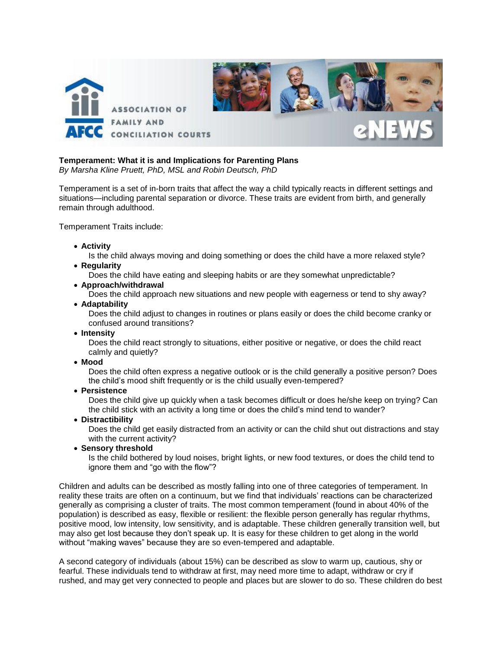

# **Temperament: What it is and Implications for Parenting Plans**

*By Marsha Kline Pruett, PhD, MSL and Robin Deutsch, PhD*

Temperament is a set of in-born traits that affect the way a child typically reacts in different settings and situations—including parental separation or divorce. These traits are evident from birth, and generally remain through adulthood.

Temperament Traits include:

- **Activity**
- Is the child always moving and doing something or does the child have a more relaxed style? **Regularity**

Does the child have eating and sleeping habits or are they somewhat unpredictable?

**Approach/withdrawal**

Does the child approach new situations and new people with eagerness or tend to shy away? **Adaptability**

Does the child adjust to changes in routines or plans easily or does the child become cranky or confused around transitions?

**Intensity**

Does the child react strongly to situations, either positive or negative, or does the child react calmly and quietly?

**Mood**

Does the child often express a negative outlook or is the child generally a positive person? Does the child's mood shift frequently or is the child usually even-tempered?

**Persistence**

Does the child give up quickly when a task becomes difficult or does he/she keep on trying? Can the child stick with an activity a long time or does the child's mind tend to wander?

**Distractibility**

Does the child get easily distracted from an activity or can the child shut out distractions and stay with the current activity?

**Sensory threshold**

Is the child bothered by loud noises, bright lights, or new food textures, or does the child tend to ignore them and "go with the flow"?

Children and adults can be described as mostly falling into one of three categories of temperament. In reality these traits are often on a continuum, but we find that individuals' reactions can be characterized generally as comprising a cluster of traits. The most common temperament (found in about 40% of the population) is described as easy, flexible or resilient: the flexible person generally has regular rhythms, positive mood, low intensity, low sensitivity, and is adaptable. These children generally transition well, but may also get lost because they don't speak up. It is easy for these children to get along in the world without "making waves" because they are so even-tempered and adaptable.

A second category of individuals (about 15%) can be described as slow to warm up, cautious, shy or fearful. These individuals tend to withdraw at first, may need more time to adapt, withdraw or cry if rushed, and may get very connected to people and places but are slower to do so. These children do best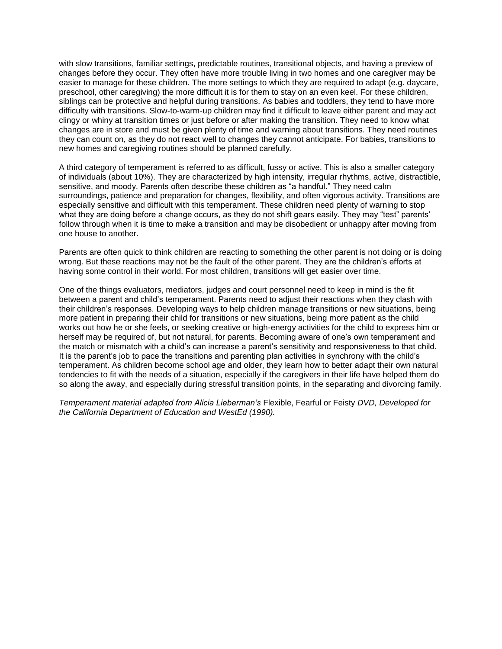with slow transitions, familiar settings, predictable routines, transitional objects, and having a preview of changes before they occur. They often have more trouble living in two homes and one caregiver may be easier to manage for these children. The more settings to which they are required to adapt (e.g. daycare, preschool, other caregiving) the more difficult it is for them to stay on an even keel. For these children, siblings can be protective and helpful during transitions. As babies and toddlers, they tend to have more difficulty with transitions. Slow-to-warm-up children may find it difficult to leave either parent and may act clingy or whiny at transition times or just before or after making the transition. They need to know what changes are in store and must be given plenty of time and warning about transitions. They need routines they can count on, as they do not react well to changes they cannot anticipate. For babies, transitions to new homes and caregiving routines should be planned carefully.

A third category of temperament is referred to as difficult, fussy or active. This is also a smaller category of individuals (about 10%). They are characterized by high intensity, irregular rhythms, active, distractible, sensitive, and moody. Parents often describe these children as "a handful." They need calm surroundings, patience and preparation for changes, flexibility, and often vigorous activity. Transitions are especially sensitive and difficult with this temperament. These children need plenty of warning to stop what they are doing before a change occurs, as they do not shift gears easily. They may "test" parents' follow through when it is time to make a transition and may be disobedient or unhappy after moving from one house to another.

Parents are often quick to think children are reacting to something the other parent is not doing or is doing wrong. But these reactions may not be the fault of the other parent. They are the children's efforts at having some control in their world. For most children, transitions will get easier over time.

One of the things evaluators, mediators, judges and court personnel need to keep in mind is the fit between a parent and child's temperament. Parents need to adjust their reactions when they clash with their children's responses. Developing ways to help children manage transitions or new situations, being more patient in preparing their child for transitions or new situations, being more patient as the child works out how he or she feels, or seeking creative or high-energy activities for the child to express him or herself may be required of, but not natural, for parents. Becoming aware of one's own temperament and the match or mismatch with a child's can increase a parent's sensitivity and responsiveness to that child. It is the parent's job to pace the transitions and parenting plan activities in synchrony with the child's temperament. As children become school age and older, they learn how to better adapt their own natural tendencies to fit with the needs of a situation, especially if the caregivers in their life have helped them do so along the away, and especially during stressful transition points, in the separating and divorcing family.

*Temperament material adapted from Alicia Lieberman's* Flexible, Fearful or Feisty *DVD, Developed for the California Department of Education and WestEd (1990).*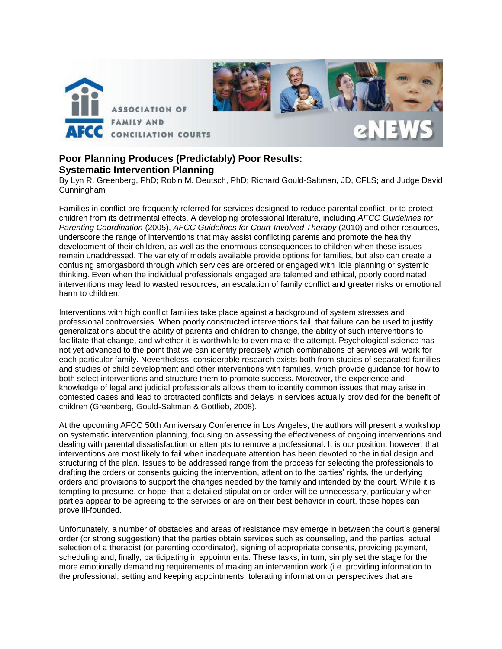

# **Poor Planning Produces (Predictably) Poor Results: Systematic Intervention Planning**

By Lyn R. Greenberg, PhD; Robin M. Deutsch, PhD; Richard Gould-Saltman, JD, CFLS; and Judge David Cunningham

Families in conflict are frequently referred for services designed to reduce parental conflict, or to protect children from its detrimental effects. A developing professional literature, including *AFCC Guidelines for Parenting Coordination* (2005), *AFCC Guidelines for Court-Involved Therapy* (2010) and other resources, underscore the range of interventions that may assist conflicting parents and promote the healthy development of their children, as well as the enormous consequences to children when these issues remain unaddressed. The variety of models available provide options for families, but also can create a confusing smorgasbord through which services are ordered or engaged with little planning or systemic thinking. Even when the individual professionals engaged are talented and ethical, poorly coordinated interventions may lead to wasted resources, an escalation of family conflict and greater risks or emotional harm to children.

Interventions with high conflict families take place against a background of system stresses and professional controversies. When poorly constructed interventions fail, that failure can be used to justify generalizations about the ability of parents and children to change, the ability of such interventions to facilitate that change, and whether it is worthwhile to even make the attempt. Psychological science has not yet advanced to the point that we can identify precisely which combinations of services will work for each particular family. Nevertheless, considerable research exists both from studies of separated families and studies of child development and other interventions with families, which provide guidance for how to both select interventions and structure them to promote success. Moreover, the experience and knowledge of legal and judicial professionals allows them to identify common issues that may arise in contested cases and lead to protracted conflicts and delays in services actually provided for the benefit of children (Greenberg, Gould-Saltman & Gottlieb, 2008).

At the upcoming AFCC 50th Anniversary Conference in Los Angeles, the authors will present a workshop on systematic intervention planning, focusing on assessing the effectiveness of ongoing interventions and dealing with parental dissatisfaction or attempts to remove a professional. It is our position, however, that interventions are most likely to fail when inadequate attention has been devoted to the initial design and structuring of the plan. Issues to be addressed range from the process for selecting the professionals to drafting the orders or consents guiding the intervention, attention to the parties' rights, the underlying orders and provisions to support the changes needed by the family and intended by the court. While it is tempting to presume, or hope, that a detailed stipulation or order will be unnecessary, particularly when parties appear to be agreeing to the services or are on their best behavior in court, those hopes can prove ill-founded.

Unfortunately, a number of obstacles and areas of resistance may emerge in between the court's general order (or strong suggestion) that the parties obtain services such as counseling, and the parties' actual selection of a therapist (or parenting coordinator), signing of appropriate consents, providing payment, scheduling and, finally, participating in appointments. These tasks, in turn, simply set the stage for the more emotionally demanding requirements of making an intervention work (i.e. providing information to the professional, setting and keeping appointments, tolerating information or perspectives that are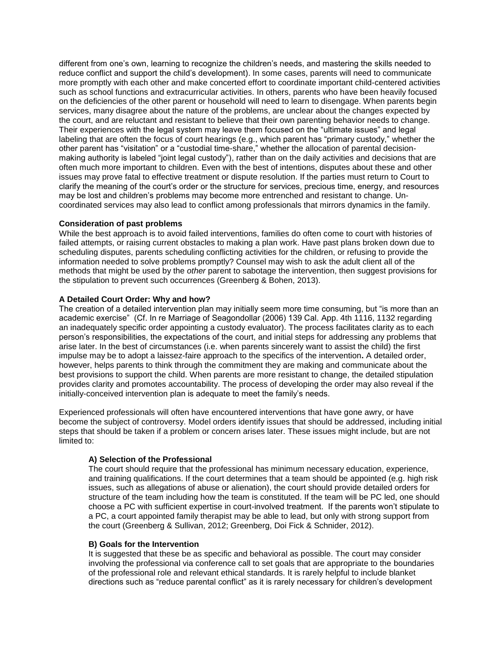different from one's own, learning to recognize the children's needs, and mastering the skills needed to reduce conflict and support the child's development). In some cases, parents will need to communicate more promptly with each other and make concerted effort to coordinate important child-centered activities such as school functions and extracurricular activities. In others, parents who have been heavily focused on the deficiencies of the other parent or household will need to learn to disengage. When parents begin services, many disagree about the nature of the problems, are unclear about the changes expected by the court, and are reluctant and resistant to believe that their own parenting behavior needs to change. Their experiences with the legal system may leave them focused on the "ultimate issues" and legal labeling that are often the focus of court hearings (e.g., which parent has "primary custody," whether the other parent has "visitation" or a "custodial time-share," whether the allocation of parental decisionmaking authority is labeled "joint legal custody"), rather than on the daily activities and decisions that are often much more important to children. Even with the best of intentions, disputes about these and other issues may prove fatal to effective treatment or dispute resolution. If the parties must return to Court to clarify the meaning of the court's order or the structure for services, precious time, energy, and resources may be lost and children's problems may become more entrenched and resistant to change. Uncoordinated services may also lead to conflict among professionals that mirrors dynamics in the family.

#### **Consideration of past problems**

While the best approach is to avoid failed interventions, families do often come to court with histories of failed attempts, or raising current obstacles to making a plan work. Have past plans broken down due to scheduling disputes, parents scheduling conflicting activities for the children, or refusing to provide the information needed to solve problems promptly? Counsel may wish to ask the adult client all of the methods that might be used by the *other* parent to sabotage the intervention, then suggest provisions for the stipulation to prevent such occurrences (Greenberg & Bohen, 2013).

#### **A Detailed Court Order: Why and how?**

The creation of a detailed intervention plan may initially seem more time consuming, but "is more than an academic exercise" (Cf. In re Marriage of Seagondollar (2006) 139 Cal. App. 4th 1116, 1132 regarding an inadequately specific order appointing a custody evaluator). The process facilitates clarity as to each person's responsibilities, the expectations of the court, and initial steps for addressing any problems that arise later. In the best of circumstances (i.e. when parents sincerely want to assist the child) the first impulse may be to adopt a laissez-faire approach to the specifics of the intervention**.** A detailed order, however, helps parents to think through the commitment they are making and communicate about the best provisions to support the child. When parents are more resistant to change, the detailed stipulation provides clarity and promotes accountability. The process of developing the order may also reveal if the initially-conceived intervention plan is adequate to meet the family's needs.

Experienced professionals will often have encountered interventions that have gone awry, or have become the subject of controversy. Model orders identify issues that should be addressed, including initial steps that should be taken if a problem or concern arises later. These issues might include, but are not limited to:

#### **A) Selection of the Professional**

The court should require that the professional has minimum necessary education, experience, and training qualifications. If the court determines that a team should be appointed (e.g. high risk issues, such as allegations of abuse or alienation), the court should provide detailed orders for structure of the team including how the team is constituted. If the team will be PC led, one should choose a PC with sufficient expertise in court-involved treatment. If the parents won't stipulate to a PC, a court appointed family therapist may be able to lead, but only with strong support from the court (Greenberg & Sullivan, 2012; Greenberg, Doi Fick & Schnider, 2012).

#### **B) Goals for the Intervention**

It is suggested that these be as specific and behavioral as possible. The court may consider involving the professional via conference call to set goals that are appropriate to the boundaries of the professional role and relevant ethical standards. It is rarely helpful to include blanket directions such as "reduce parental conflict" as it is rarely necessary for children's development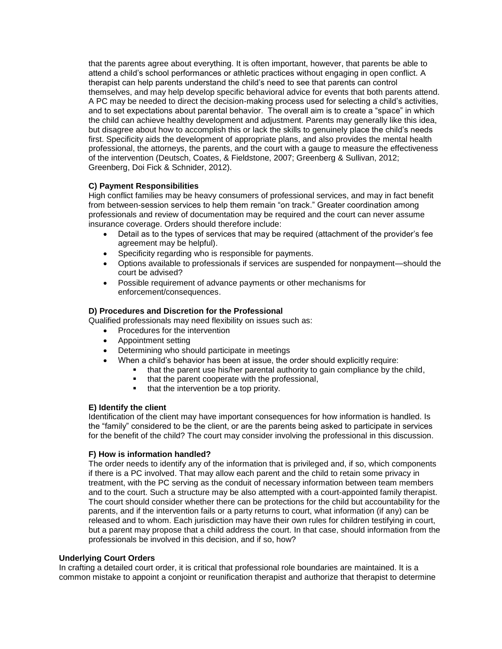that the parents agree about everything. It is often important, however, that parents be able to attend a child's school performances or athletic practices without engaging in open conflict. A therapist can help parents understand the child's need to see that parents can control themselves, and may help develop specific behavioral advice for events that both parents attend. A PC may be needed to direct the decision-making process used for selecting a child's activities, and to set expectations about parental behavior. The overall aim is to create a "space" in which the child can achieve healthy development and adjustment. Parents may generally like this idea, but disagree about how to accomplish this or lack the skills to genuinely place the child's needs first. Specificity aids the development of appropriate plans, and also provides the mental health professional, the attorneys, the parents, and the court with a gauge to measure the effectiveness of the intervention (Deutsch, Coates, & Fieldstone, 2007; Greenberg & Sullivan, 2012; Greenberg, Doi Fick & Schnider, 2012).

#### **C) Payment Responsibilities**

High conflict families may be heavy consumers of professional services, and may in fact benefit from between-session services to help them remain "on track." Greater coordination among professionals and review of documentation may be required and the court can never assume insurance coverage. Orders should therefore include:

- Detail as to the types of services that may be required (attachment of the provider's fee agreement may be helpful).
- Specificity regarding who is responsible for payments.
- Options available to professionals if services are suspended for nonpayment—should the court be advised?
- Possible requirement of advance payments or other mechanisms for enforcement/consequences.

#### **D) Procedures and Discretion for the Professional**

Qualified professionals may need flexibility on issues such as:

- Procedures for the intervention
- Appointment setting
- Determining who should participate in meetings
	- When a child's behavior has been at issue, the order should explicitly require:
		- that the parent use his/her parental authority to gain compliance by the child,
		- that the parent cooperate with the professional,
		- that the intervention be a top priority.

#### **E) Identify the client**

Identification of the client may have important consequences for how information is handled. Is the "family" considered to be the client, or are the parents being asked to participate in services for the benefit of the child? The court may consider involving the professional in this discussion.

#### **F) How is information handled?**

The order needs to identify any of the information that is privileged and, if so, which components if there is a PC involved. That may allow each parent and the child to retain some privacy in treatment, with the PC serving as the conduit of necessary information between team members and to the court. Such a structure may be also attempted with a court-appointed family therapist. The court should consider whether there can be protections for the child but accountability for the parents, and if the intervention fails or a party returns to court, what information (if any) can be released and to whom. Each jurisdiction may have their own rules for children testifying in court, but a parent may propose that a child address the court. In that case, should information from the professionals be involved in this decision, and if so, how?

#### **Underlying Court Orders**

In crafting a detailed court order, it is critical that professional role boundaries are maintained. It is a common mistake to appoint a conjoint or reunification therapist and authorize that therapist to determine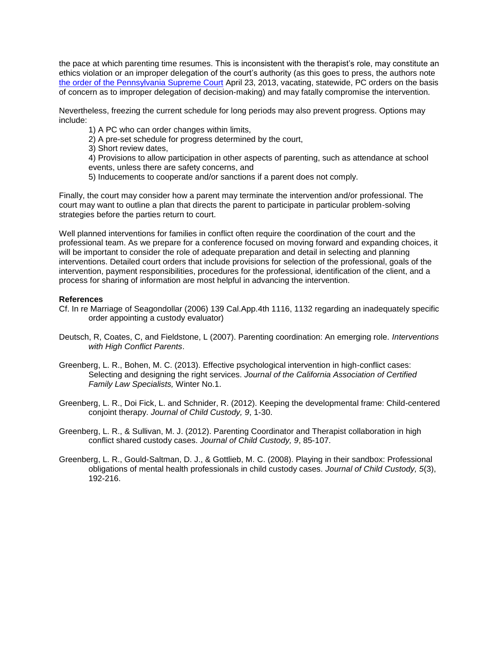the pace at which parenting time resumes. This is inconsistent with the therapist's role, may constitute an ethics violation or an improper delegation of the court's authority (as this goes to press, the authors note [the order of the Pennsylvania Supreme Court](http://www.pacourts.us/assets/opinions/Supreme/out/577civ-attach.pdf) April 23, 2013, vacating, statewide, PC orders on the basis of concern as to improper delegation of decision-making) and may fatally compromise the intervention.

Nevertheless, freezing the current schedule for long periods may also prevent progress. Options may include:

- 1) A PC who can order changes within limits,
- 2) A pre-set schedule for progress determined by the court,
- 3) Short review dates,

4) Provisions to allow participation in other aspects of parenting, such as attendance at school events, unless there are safety concerns, and

5) Inducements to cooperate and/or sanctions if a parent does not comply.

Finally, the court may consider how a parent may terminate the intervention and/or professional. The court may want to outline a plan that directs the parent to participate in particular problem-solving strategies before the parties return to court.

Well planned interventions for families in conflict often require the coordination of the court and the professional team. As we prepare for a conference focused on moving forward and expanding choices, it will be important to consider the role of adequate preparation and detail in selecting and planning interventions. Detailed court orders that include provisions for selection of the professional, goals of the intervention, payment responsibilities, procedures for the professional, identification of the client, and a process for sharing of information are most helpful in advancing the intervention.

#### **References**

- Cf. In re Marriage of Seagondollar (2006) 139 Cal.App.4th 1116, 1132 regarding an inadequately specific order appointing a custody evaluator)
- Deutsch, R, Coates, C, and Fieldstone, L (2007). Parenting coordination: An emerging role. *Interventions with High Conflict Parents*.
- Greenberg, L. R., Bohen, M. C. (2013). Effective psychological intervention in high-conflict cases: Selecting and designing the right services. *Journal of the California Association of Certified Family Law Specialists,* Winter No.1.
- Greenberg, L. R., Doi Fick, L. and Schnider, R. (2012). Keeping the developmental frame: Child-centered conjoint therapy. *Journal of Child Custody, 9*, 1-30.
- Greenberg, L. R., & Sullivan, M. J. (2012). Parenting Coordinator and Therapist collaboration in high conflict shared custody cases. *Journal of Child Custody, 9*, 85-107.
- Greenberg, L. R., Gould-Saltman, D. J., & Gottlieb, M. C. (2008). Playing in their sandbox: Professional obligations of mental health professionals in child custody cases. *Journal of Child Custody, 5*(3), 192-216.